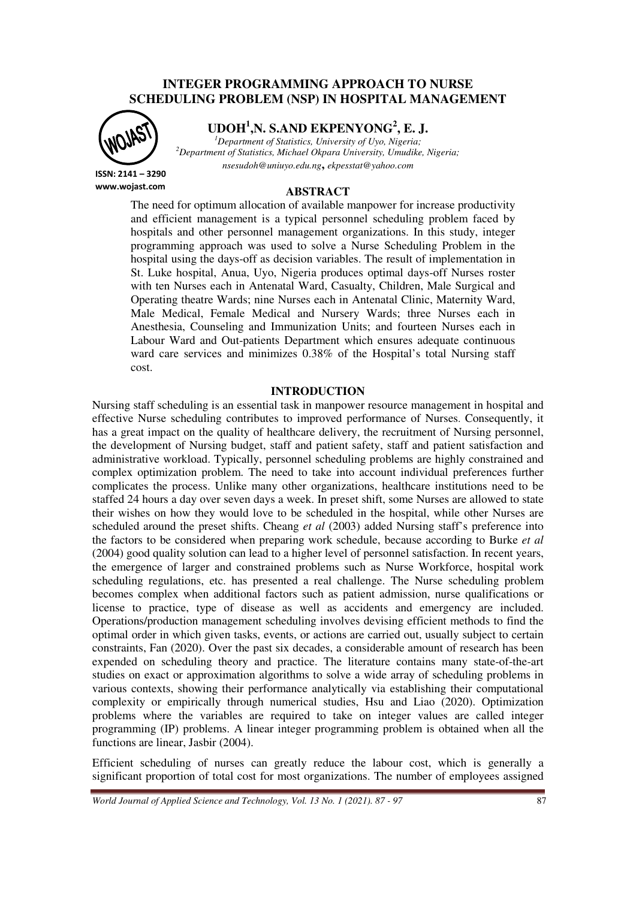## **INTEGER PROGRAMMING APPROACH TO NURSE SCHEDULING PROBLEM (NSP) IN HOSPITAL MANAGEMENT**

**ISSN: 2141 – 3290 www.wojast.com** **UDOH<sup>1</sup> ,N. S.AND EKPENYONG<sup>2</sup> , E. J.**

*<sup>1</sup>Department of Statistics, University of Uyo, Nigeria; <sup>2</sup>Department of Statistics, Michael Okpara University, Umudike, Nigeria; nsesudoh@uniuyo.edu.ng***,** *ekpesstat@yahoo.com*

**ABSTRACT** 

The need for optimum allocation of available manpower for increase productivity and efficient management is a typical personnel scheduling problem faced by hospitals and other personnel management organizations. In this study, integer programming approach was used to solve a Nurse Scheduling Problem in the hospital using the days-off as decision variables. The result of implementation in St. Luke hospital, Anua, Uyo, Nigeria produces optimal days-off Nurses roster with ten Nurses each in Antenatal Ward, Casualty, Children, Male Surgical and Operating theatre Wards; nine Nurses each in Antenatal Clinic, Maternity Ward, Male Medical, Female Medical and Nursery Wards; three Nurses each in Anesthesia, Counseling and Immunization Units; and fourteen Nurses each in Labour Ward and Out-patients Department which ensures adequate continuous ward care services and minimizes 0.38% of the Hospital's total Nursing staff cost.

### **INTRODUCTION**

Nursing staff scheduling is an essential task in manpower resource management in hospital and effective Nurse scheduling contributes to improved performance of Nurses. Consequently, it has a great impact on the quality of healthcare delivery, the recruitment of Nursing personnel, the development of Nursing budget, staff and patient safety, staff and patient satisfaction and administrative workload. Typically, personnel scheduling problems are highly constrained and complex optimization problem. The need to take into account individual preferences further complicates the process. Unlike many other organizations, healthcare institutions need to be staffed 24 hours a day over seven days a week. In preset shift, some Nurses are allowed to state their wishes on how they would love to be scheduled in the hospital, while other Nurses are scheduled around the preset shifts. Cheang *et al* (2003) added Nursing staff's preference into the factors to be considered when preparing work schedule, because according to Burke *et al* (2004) good quality solution can lead to a higher level of personnel satisfaction. In recent years, the emergence of larger and constrained problems such as Nurse Workforce, hospital work scheduling regulations, etc. has presented a real challenge. The Nurse scheduling problem becomes complex when additional factors such as patient admission, nurse qualifications or license to practice, type of disease as well as accidents and emergency are included. Operations/production management scheduling involves devising efficient methods to find the optimal order in which given tasks, events, or actions are carried out, usually subject to certain constraints, Fan (2020). Over the past six decades, a considerable amount of research has been expended on scheduling theory and practice. The literature contains many state-of-the-art studies on exact or approximation algorithms to solve a wide array of scheduling problems in various contexts, showing their performance analytically via establishing their computational complexity or empirically through numerical studies, Hsu and Liao (2020). Optimization problems where the variables are required to take on integer values are called integer programming (IP) problems. A linear integer programming problem is obtained when all the functions are linear, Jasbir (2004).

Efficient scheduling of nurses can greatly reduce the labour cost, which is generally a significant proportion of total cost for most organizations. The number of employees assigned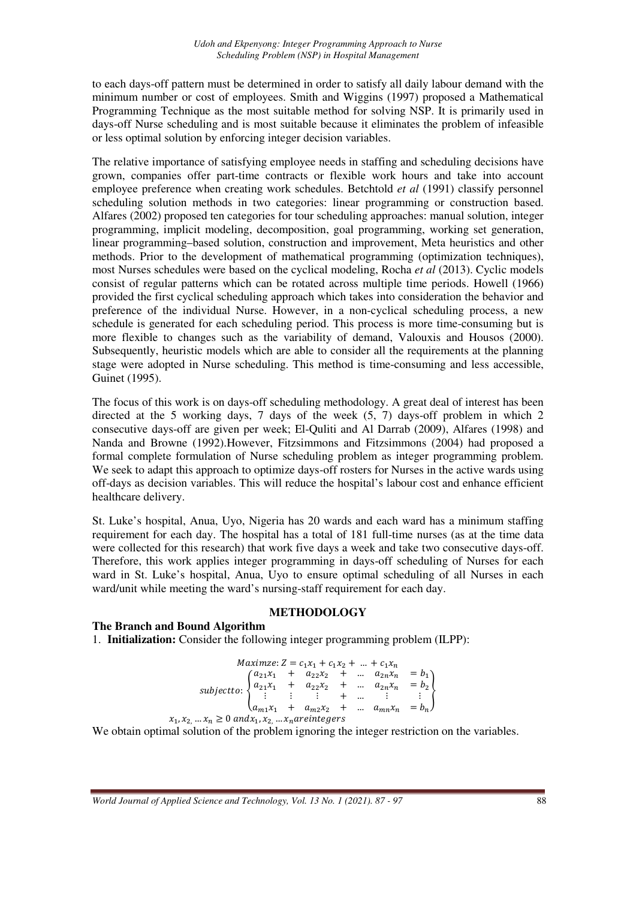to each days-off pattern must be determined in order to satisfy all daily labour demand with the minimum number or cost of employees. Smith and Wiggins (1997) proposed a Mathematical Programming Technique as the most suitable method for solving NSP. It is primarily used in days-off Nurse scheduling and is most suitable because it eliminates the problem of infeasible or less optimal solution by enforcing integer decision variables.

The relative importance of satisfying employee needs in staffing and scheduling decisions have grown, companies offer part-time contracts or flexible work hours and take into account employee preference when creating work schedules. Betchtold *et al* (1991) classify personnel scheduling solution methods in two categories: linear programming or construction based. Alfares (2002) proposed ten categories for tour scheduling approaches: manual solution, integer programming, implicit modeling, decomposition, goal programming, working set generation, linear programming–based solution, construction and improvement, Meta heuristics and other methods. Prior to the development of mathematical programming (optimization techniques), most Nurses schedules were based on the cyclical modeling, Rocha *et al* (2013). Cyclic models consist of regular patterns which can be rotated across multiple time periods. Howell (1966) provided the first cyclical scheduling approach which takes into consideration the behavior and preference of the individual Nurse. However, in a non-cyclical scheduling process, a new schedule is generated for each scheduling period. This process is more time-consuming but is more flexible to changes such as the variability of demand, Valouxis and Housos (2000). Subsequently, heuristic models which are able to consider all the requirements at the planning stage were adopted in Nurse scheduling. This method is time-consuming and less accessible, Guinet (1995).

The focus of this work is on days-off scheduling methodology. A great deal of interest has been directed at the 5 working days, 7 days of the week (5, 7) days-off problem in which 2 consecutive days-off are given per week; El-Quliti and Al Darrab (2009), Alfares (1998) and Nanda and Browne (1992).However, Fitzsimmons and Fitzsimmons (2004) had proposed a formal complete formulation of Nurse scheduling problem as integer programming problem. We seek to adapt this approach to optimize days-off rosters for Nurses in the active wards using off-days as decision variables. This will reduce the hospital's labour cost and enhance efficient healthcare delivery.

St. Luke's hospital, Anua, Uyo, Nigeria has 20 wards and each ward has a minimum staffing requirement for each day. The hospital has a total of 181 full-time nurses (as at the time data were collected for this research) that work five days a week and take two consecutive days-off. Therefore, this work applies integer programming in days-off scheduling of Nurses for each ward in St. Luke's hospital, Anua, Uyo to ensure optimal scheduling of all Nurses in each ward/unit while meeting the ward's nursing-staff requirement for each day.

## **METHODOLOGY**

### **The Branch and Bound Algorithm**

1. **Initialization:** Consider the following integer programming problem (ILPP):

$$
Maximize: Z = c_1x_1 + c_1x_2 + \dots + c_1x_n
$$
  
\n
$$
subject to: \begin{cases} a_{21}x_1 + a_{22}x_2 + \dots + a_{2n}x_n = b_1 \\ a_{21}x_1 + a_{22}x_2 + \dots + a_{2n}x_n = b_2 \\ \vdots & \vdots & \vdots \\ a_{m1}x_1 + a_{m2}x_2 + \dots + a_{mn}x_n = b_n \end{cases}
$$
  
\n $x_1, x_2, \dots x_n \ge 0$  and  $x_1, x_2, \dots x_n$  are integers

We obtain optimal solution of the problem ignoring the integer restriction on the variables.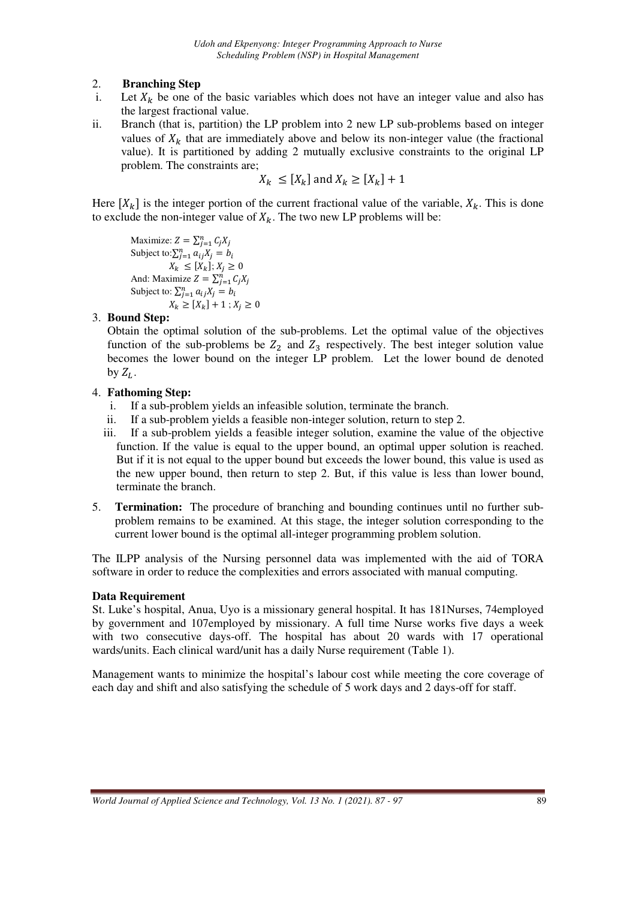# 2. **Branching Step**

- i. Let  $X_k$  be one of the basic variables which does not have an integer value and also has the largest fractional value.
- ii. Branch (that is, partition) the LP problem into 2 new LP sub-problems based on integer values of  $X_k$  that are immediately above and below its non-integer value (the fractional value). It is partitioned by adding 2 mutually exclusive constraints to the original LP problem. The constraints are;

$$
X_k \le [X_k] \text{ and } X_k \ge [X_k] + 1
$$

Here  $[X_k]$  is the integer portion of the current fractional value of the variable,  $X_k$ . This is done to exclude the non-integer value of  $X_k$ . The two new LP problems will be:

Maximize:  $Z = \sum_{j=1}^{n} C_j X_j$ Subject to: $\sum_{j=1}^{n} a_{ij}X_j = b_i$  $X_k \leq [X_k]; X_j \geq 0$ And: Maximize  $Z = \sum_{j=1}^{n} C_j X_j$ Subject to:  $\sum_{j=1}^{n} a_{ij}X_j = b_i$  $X_k \geq [X_k] + 1$ ;  $X_j \geq 0$ 

## 3. **Bound Step:**

Obtain the optimal solution of the sub-problems. Let the optimal value of the objectives function of the sub-problems be  $Z_2$  and  $Z_3$  respectively. The best integer solution value becomes the lower bound on the integer LP problem. Let the lower bound de denoted by  $Z_L$ .

## 4. **Fathoming Step:**

- i. If a sub-problem yields an infeasible solution, terminate the branch.
- ii. If a sub-problem yields a feasible non-integer solution, return to step 2.
- iii. If a sub-problem yields a feasible integer solution, examine the value of the objective function. If the value is equal to the upper bound, an optimal upper solution is reached. But if it is not equal to the upper bound but exceeds the lower bound, this value is used as the new upper bound, then return to step 2. But, if this value is less than lower bound, terminate the branch.
- 5. **Termination:** The procedure of branching and bounding continues until no further subproblem remains to be examined. At this stage, the integer solution corresponding to the current lower bound is the optimal all-integer programming problem solution.

The ILPP analysis of the Nursing personnel data was implemented with the aid of TORA software in order to reduce the complexities and errors associated with manual computing.

# **Data Requirement**

St. Luke's hospital, Anua, Uyo is a missionary general hospital. It has 181Nurses, 74employed by government and 107employed by missionary. A full time Nurse works five days a week with two consecutive days-off. The hospital has about 20 wards with 17 operational wards/units. Each clinical ward/unit has a daily Nurse requirement (Table 1).

Management wants to minimize the hospital's labour cost while meeting the core coverage of each day and shift and also satisfying the schedule of 5 work days and 2 days-off for staff.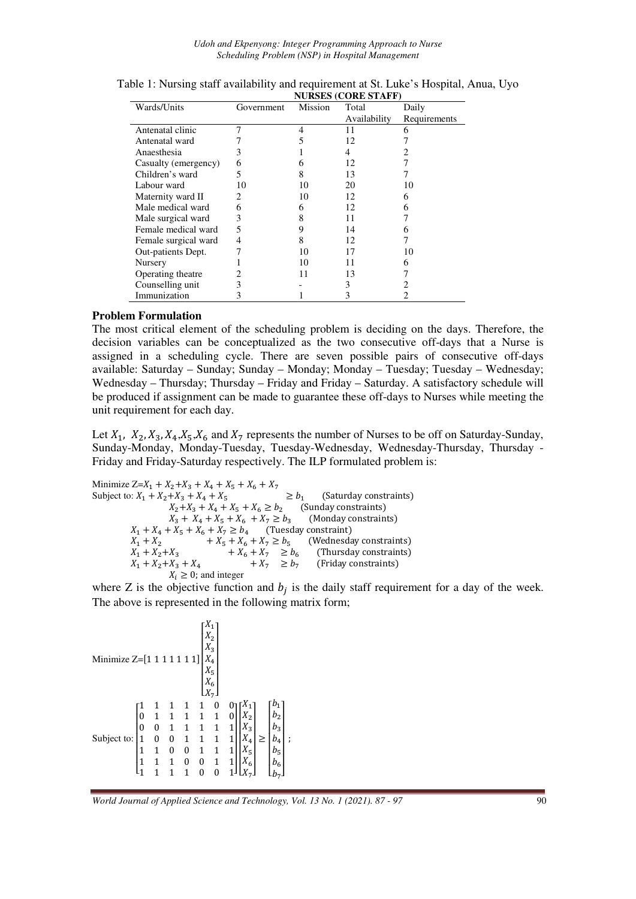*Udoh and Ekpenyong: Integer Programming Approach to Nurse Scheduling Problem (NSP) in Hospital Management* 

|                      | NUKSES (COKE STAFF) |         |              |              |  |  |  |  |
|----------------------|---------------------|---------|--------------|--------------|--|--|--|--|
| Wards/Units          | Government          | Mission | Total        | Daily        |  |  |  |  |
|                      |                     |         | Availability | Requirements |  |  |  |  |
| Antenatal clinic     | 7                   | 4       | 11           | 6            |  |  |  |  |
| Antenatal ward       |                     |         | 12           |              |  |  |  |  |
| Anaesthesia          | 3                   |         | 4            |              |  |  |  |  |
| Casualty (emergency) | 6                   | h       | 12           |              |  |  |  |  |
| Children's ward      | 5                   | 8       | 13           |              |  |  |  |  |
| Labour ward          | 10                  | 10      | 20           | 10           |  |  |  |  |
| Maternity ward II    | 2                   | 10      | 12           | 6            |  |  |  |  |
| Male medical ward    | 6                   | 6       | 12           | 6            |  |  |  |  |
| Male surgical ward   | 3                   | 8       | 11           |              |  |  |  |  |
| Female medical ward  | 5                   | 9       | 14           |              |  |  |  |  |
| Female surgical ward | 4                   | 8       | 12           |              |  |  |  |  |
| Out-patients Dept.   |                     | 10      | 17           | 10           |  |  |  |  |
| Nursery              |                     | 10      | 11           | 6            |  |  |  |  |
| Operating theatre    |                     | 11      | 13           |              |  |  |  |  |
| Counselling unit     | 3                   |         | 3            |              |  |  |  |  |
| Immunization         |                     |         |              |              |  |  |  |  |

| Table 1: Nursing staff availability and requirement at St. Luke's Hospital, Anua, Uyo |  |
|---------------------------------------------------------------------------------------|--|
| <b>NURSES (CORE STAFF)</b>                                                            |  |

#### **Problem Formulation**

The most critical element of the scheduling problem is deciding on the days. Therefore, the decision variables can be conceptualized as the two consecutive off-days that a Nurse is assigned in a scheduling cycle. There are seven possible pairs of consecutive off-days available: Saturday – Sunday; Sunday – Monday; Monday – Tuesday; Tuesday – Wednesday; Wednesday – Thursday; Thursday – Friday and Friday – Saturday. A satisfactory schedule will be produced if assignment can be made to guarantee these off-days to Nurses while meeting the unit requirement for each day.

Let  $X_1$ ,  $X_2$ ,  $X_3$ ,  $X_4$ ,  $X_5$ ,  $X_6$  and  $X_7$  represents the number of Nurses to be off on Saturday-Sunday, Sunday-Monday, Monday-Tuesday, Tuesday-Wednesday, Wednesday-Thursday, Thursday - Friday and Friday-Saturday respectively. The ILP formulated problem is:

Minimize  $Z = X_1 + X_2 + X_3 + X_4 + X_5 + X_6 + X_7$ Subject to:  $X_1 + X_2 + X_3 + X_4 + X_5$   $\geq b_1$  (Saturday constraints)  $X_2 + X_3 + X_4 + X_5 + X_6 \ge b_2$  (Sunday constraints)  $X_3 + X_4 + X_5 + X_6 + X_7 \ge b_3$  (Monday constraints)  $X_1 + X_4 + X_5 + X_6 + X_7 \ge b_4$  (Tuesday constraint)  $X_1 + X_2$  +  $X_5 + X_6 + X_7 \ge b_5$  (Wednesday constraints)  $X_1 + X_2 + X_3 + X_6 + X_7 \geq b_6$  (Thursday constraints)  $X_1 + X_2 + X_3 + X_4 + X_7 \geq b_7$  (Friday constraints)  $X_i \geq 0$ ; and integer

where Z is the objective function and  $b_j$  is the daily staff requirement for a day of the week. The above is represented in the following matrix form;

| Minimize Z=[1 1 1 1 1 1 1] $X_4$                                                                                                                                                               |  |  |  |                                                                                                                   |
|------------------------------------------------------------------------------------------------------------------------------------------------------------------------------------------------|--|--|--|-------------------------------------------------------------------------------------------------------------------|
| Subject to: $\begin{bmatrix} 1 & 1 & 1 & 1 & 1 & 0 \\ 0 & 1 & 1 & 1 & 1 & 1 \\ 0 & 0 & 1 & 1 & 1 & 1 \\ 1 & 0 & 0 & 1 & 1 & 1 \\ 1 & 1 & 0 & 0 & 1 & 1 \\ 1 & 1 & 1 & 0 & 0 & 1 \end{bmatrix}$ |  |  |  | $\begin{bmatrix} b_1 \\ b_2 \\ b_3 \end{bmatrix}$<br>$b_4$<br>$X_5$<br>$\begin{bmatrix} b_5 \\ b_6 \end{bmatrix}$ |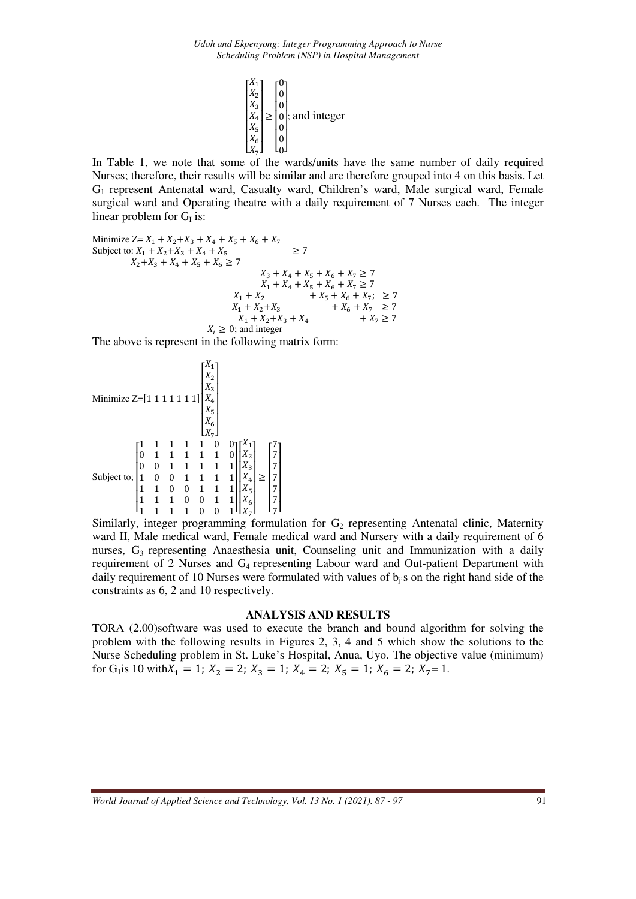

In Table 1, we note that some of the wards/units have the same number of daily required Nurses; therefore, their results will be similar and are therefore grouped into 4 on this basis. Let G1 represent Antenatal ward, Casualty ward, Children's ward, Male surgical ward, Female surgical ward and Operating theatre with a daily requirement of 7 Nurses each. The integer linear problem for  $G<sub>I</sub>$  is:

Minimize 
$$
Z = X_1 + X_2 + X_3 + X_4 + X_5 + X_6 + X_7
$$
  
\nSubject to:  $X_1 + X_2 + X_3 + X_4 + X_5$   $\ge 7$   
\n $X_2 + X_3 + X_4 + X_5 + X_6 \ge 7$   
\n $X_3 + X_4 + X_5 + X_6 + X_7 \ge 7$   
\n $X_1 + X_4 + X_5 + X_6 + X_7 \ge 7$   
\n $X_1 + X_2 + X_3 + X_6 + X_7$ ;  $\ge 7$   
\n $X_1 + X_2 + X_3 + X_4 + X_7 \ge 7$   
\n $X_1 + X_2 + X_3 + X_4 + X_7 \ge 7$   
\n $X_i \ge 0$ ; and integer

The above is represent in the following matrix form:

Minimize 
$$
Z = [1 \ 1 \ 1 \ 1 \ 1 \ 1 \ 1 \ 1 \ 1 \ 1 \ 1 \begin{bmatrix} X_1 \\ X_2 \\ X_3 \\ X_4 \\ X_5 \\ X_6 \\ X_7 \end{bmatrix}
$$
  
\nSubject to; 
$$
\begin{bmatrix} 1 & 1 & 1 & 1 & 1 & 0 & 0 \\ 0 & 1 & 1 & 1 & 1 & 1 & 0 \\ 0 & 0 & 1 & 1 & 1 & 1 & 1 \\ 1 & 0 & 0 & 1 & 1 & 1 & 1 \\ 1 & 1 & 0 & 0 & 1 & 1 & 1 \\ 1 & 1 & 1 & 0 & 0 & 1 & 1 \\ 1 & 1 & 1 & 1 & 0 & 0 & 1 & 1 \\ 1 & 1 & 1 & 1 & 0 & 0 & 1 & 1 \\ 1 & 1 & 1 & 1 & 0 & 0 & 1 & 1 \\ 1 & 1 & 1 & 1 & 0 & 0 & 1 & 1 \\ 1 & 1 & 1 & 1 & 0 & 0 & 1 & 1 \\ 1 & 1 & 1 & 1 & 0 & 0 & 1 & 1 \end{bmatrix} \begin{bmatrix} X_1 \\ X_2 \\ X_3 \\ X_4 \\ X_5 \\ X_6 \end{bmatrix} \geq \begin{bmatrix} 7 \\ 7 \\ 7 \\ 7 \\ 7 \\ 7 \\ 7 \end{bmatrix}
$$

Similarly, integer programming formulation for  $G_2$  representing Antenatal clinic, Maternity ward II, Male medical ward, Female medical ward and Nursery with a daily requirement of 6 nurses,  $G_3$  representing Anaesthesia unit, Counseling unit and Immunization with a daily requirement of 2 Nurses and G<sub>4</sub> representing Labour ward and Out-patient Department with daily requirement of 10 Nurses were formulated with values of  $b_i$ 's on the right hand side of the constraints as 6, 2 and 10 respectively.

### **ANALYSIS AND RESULTS**

TORA (2.00)software was used to execute the branch and bound algorithm for solving the problem with the following results in Figures 2, 3, 4 and 5 which show the solutions to the Nurse Scheduling problem in St. Luke's Hospital, Anua, Uyo. The objective value (minimum) for G<sub>1</sub> is 10 with  $X_1 = 1$ ;  $X_2 = 2$ ;  $X_3 = 1$ ;  $X_4 = 2$ ;  $X_5 = 1$ ;  $X_6 = 2$ ;  $X_7 = 1$ .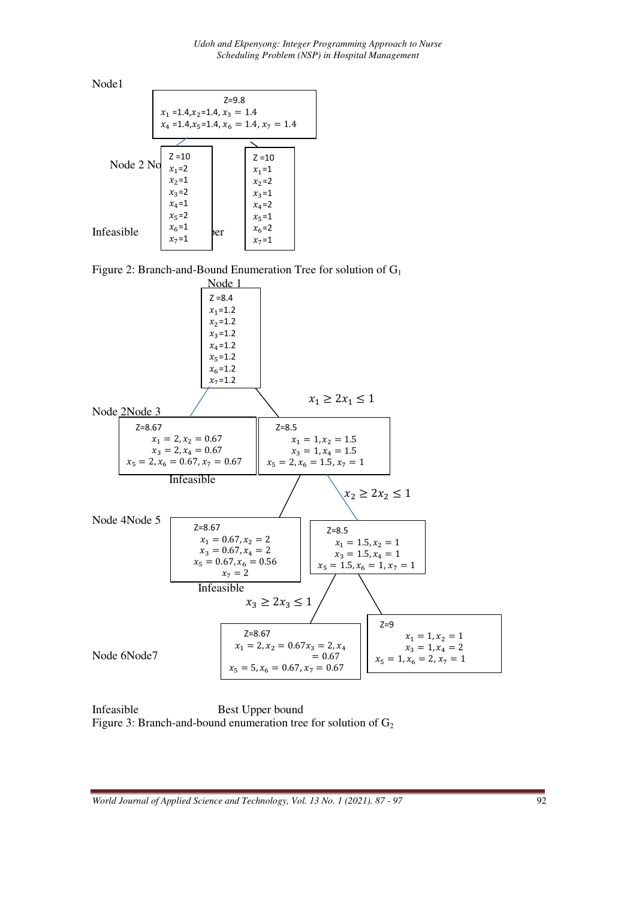

Figure 2: Branch-and-Bound Enumeration Tree for solution of G<sub>1</sub>



Infeasible Best Upper bound Figure 3: Branch-and-bound enumeration tree for solution of  $G_2$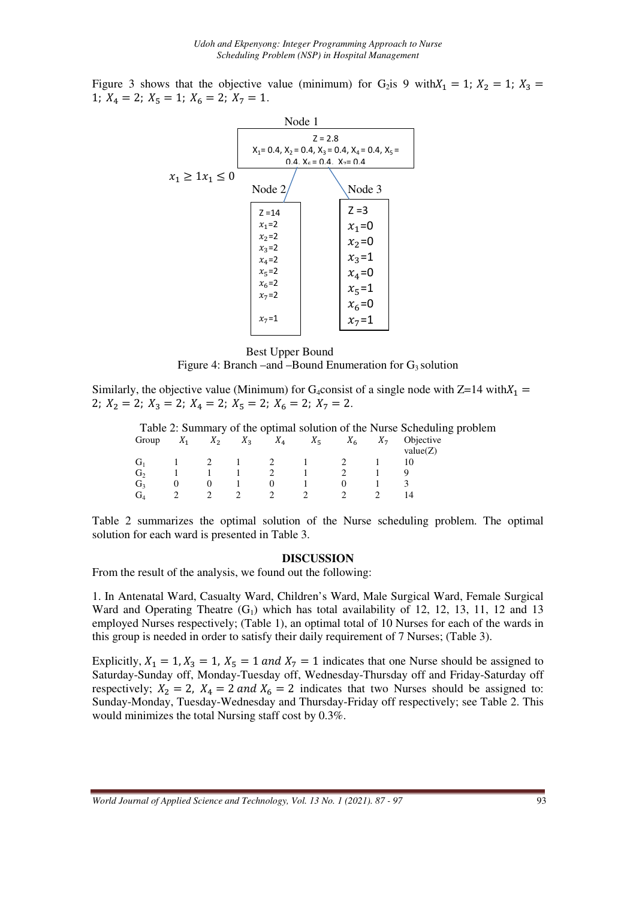Figure 3 shows that the objective value (minimum) for G<sub>2</sub>is 9 with $X_1 = 1$ ;  $X_2 = 1$ ;  $X_3 =$ 1;  $X_4 = 2$ ;  $X_5 = 1$ ;  $X_6 = 2$ ;  $X_7 = 1$ .



Best Upper Bound

Figure 4: Branch –and –Bound Enumeration for  $G_3$  solution

Similarly, the objective value (Minimum) for G<sub>4</sub>consist of a single node with  $Z=14$  with $X_1 =$ 2;  $X_2 = 2$ ;  $X_3 = 2$ ;  $X_4 = 2$ ;  $X_5 = 2$ ;  $X_6 = 2$ ;  $X_7 = 2$ .

|                |       |                |             |         |          |                | Table 2: Summary of the optimal solution of the Nurse Scheduling problem |
|----------------|-------|----------------|-------------|---------|----------|----------------|--------------------------------------------------------------------------|
| Group          | $X_1$ | $X_2$          | $X_3$ $X_4$ | $X_{5}$ | $X_{6}$  | X <sub>7</sub> | Objective                                                                |
|                |       |                |             |         |          |                | value(Z)                                                                 |
| $G_{1}$        |       | $\overline{2}$ |             |         |          |                |                                                                          |
| G <sub>2</sub> |       |                |             |         |          |                |                                                                          |
| G <sub>3</sub> |       | $\theta$       |             |         | $\theta$ |                |                                                                          |
| G <sub>4</sub> |       |                |             |         |          |                |                                                                          |

Table 2 summarizes the optimal solution of the Nurse scheduling problem. The optimal solution for each ward is presented in Table 3.

#### **DISCUSSION**

From the result of the analysis, we found out the following:

1. In Antenatal Ward, Casualty Ward, Children's Ward, Male Surgical Ward, Female Surgical Ward and Operating Theatre  $(G_1)$  which has total availability of 12, 12, 13, 11, 12 and 13 employed Nurses respectively; (Table 1), an optimal total of 10 Nurses for each of the wards in this group is needed in order to satisfy their daily requirement of 7 Nurses; (Table 3).

Explicitly,  $X_1 = 1, X_3 = 1, X_5 = 1$  and  $X_7 = 1$  indicates that one Nurse should be assigned to Saturday-Sunday off, Monday-Tuesday off, Wednesday-Thursday off and Friday-Saturday off respectively;  $X_2 = 2$ ,  $X_4 = 2$  and  $X_6 = 2$  indicates that two Nurses should be assigned to: Sunday-Monday, Tuesday-Wednesday and Thursday-Friday off respectively; see Table 2. This would minimizes the total Nursing staff cost by 0.3%.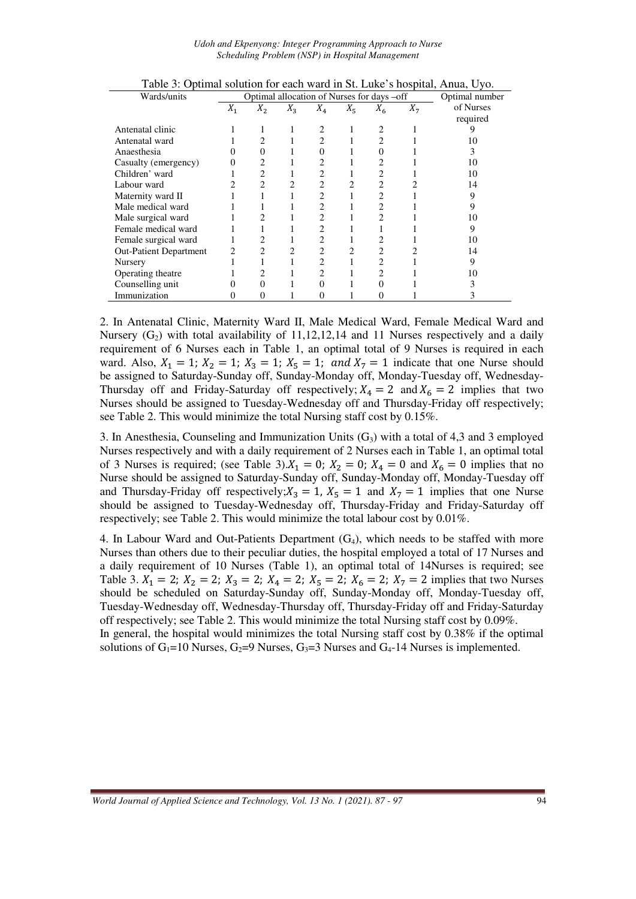*Udoh and Ekpenyong: Integer Programming Approach to Nurse Scheduling Problem (NSP) in Hospital Management* 

| I avie 5. Optimal solution for each wald in St. Luke S hospital, Aliua, Oyo. |       |                                            |                |                |         |       |                |           |  |
|------------------------------------------------------------------------------|-------|--------------------------------------------|----------------|----------------|---------|-------|----------------|-----------|--|
| Wards/units                                                                  |       | Optimal allocation of Nurses for days -off | Optimal number |                |         |       |                |           |  |
|                                                                              | $X_1$ | $X_2$                                      | $X_3$          | $X_4$          | $X_{5}$ | $X_6$ | X <sub>7</sub> | of Nurses |  |
|                                                                              |       |                                            |                |                |         |       |                | required  |  |
| Antenatal clinic                                                             |       |                                            |                |                |         |       |                |           |  |
| Antenatal ward                                                               |       | 2                                          |                | $\overline{c}$ |         | 2     |                | 10        |  |
| Anaesthesia                                                                  | 0     | $\Omega$                                   |                |                |         |       |                | 3         |  |
| Casualty (emergency)                                                         | 0     | 2                                          |                |                |         |       |                | 10        |  |
| Children' ward                                                               |       | 2                                          |                |                |         | 2     |                | 10        |  |
| Labour ward                                                                  |       | $\overline{c}$                             |                |                |         |       |                | 14        |  |
| Maternity ward II                                                            |       |                                            |                |                |         | 2     |                | 9         |  |
| Male medical ward                                                            |       |                                            |                |                |         | 2     |                | 9         |  |
| Male surgical ward                                                           |       |                                            |                |                |         | 2     |                | 10        |  |
| Female medical ward                                                          |       |                                            |                |                |         |       |                | 9         |  |
| Female surgical ward                                                         |       |                                            |                |                |         |       |                | 10        |  |
| <b>Out-Patient Department</b>                                                | 2     | 2                                          | 2              | 2              | 2       | 2     |                | 14        |  |
| Nursery                                                                      |       |                                            |                |                |         | 2     |                | 9         |  |
| Operating theatre                                                            |       |                                            |                | 2              |         | 2     |                | 10        |  |
| Counselling unit                                                             |       | $\Omega$                                   |                |                |         |       |                |           |  |
| Immunization                                                                 |       | 0                                          |                |                |         |       |                |           |  |

Table 3: Optimal solution for each ward in St. Luke's hospital, Anua, Uyo.

2. In Antenatal Clinic, Maternity Ward II, Male Medical Ward, Female Medical Ward and Nursery  $(G<sub>2</sub>)$  with total availability of 11,12,12,14 and 11 Nurses respectively and a daily requirement of 6 Nurses each in Table 1, an optimal total of 9 Nurses is required in each ward. Also,  $X_1 = 1$ ;  $X_2 = 1$ ;  $X_3 = 1$ ;  $X_5 = 1$ ; and  $X_7 = 1$  indicate that one Nurse should be assigned to Saturday-Sunday off, Sunday-Monday off, Monday-Tuesday off, Wednesday-Thursday off and Friday-Saturday off respectively;  $X_4 = 2$  and  $X_6 = 2$  implies that two Nurses should be assigned to Tuesday-Wednesday off and Thursday-Friday off respectively; see Table 2. This would minimize the total Nursing staff cost by 0.15%.

3. In Anesthesia, Counseling and Immunization Units  $(G_3)$  with a total of 4,3 and 3 employed Nurses respectively and with a daily requirement of 2 Nurses each in Table 1, an optimal total of 3 Nurses is required; (see Table 3)  $X_1 = 0$ ;  $X_2 = 0$ ;  $X_4 = 0$  and  $X_6 = 0$  implies that no Nurse should be assigned to Saturday-Sunday off, Sunday-Monday off, Monday-Tuesday off and Thursday-Friday off respectively;  $X_3 = 1$ ,  $X_5 = 1$  and  $X_7 = 1$  implies that one Nurse should be assigned to Tuesday-Wednesday off, Thursday-Friday and Friday-Saturday off respectively; see Table 2. This would minimize the total labour cost by 0.01%.

4. In Labour Ward and Out-Patients Department  $(G_4)$ , which needs to be staffed with more Nurses than others due to their peculiar duties, the hospital employed a total of 17 Nurses and a daily requirement of 10 Nurses (Table 1), an optimal total of 14Nurses is required; see Table 3.  $X_1 = 2$ ;  $X_2 = 2$ ;  $X_3 = 2$ ;  $X_4 = 2$ ;  $X_5 = 2$ ;  $X_6 = 2$ ;  $X_7 = 2$  implies that two Nurses should be scheduled on Saturday-Sunday off, Sunday-Monday off, Monday-Tuesday off, Tuesday-Wednesday off, Wednesday-Thursday off, Thursday-Friday off and Friday-Saturday off respectively; see Table 2. This would minimize the total Nursing staff cost by 0.09%. In general, the hospital would minimizes the total Nursing staff cost by 0.38% if the optimal solutions of  $G_1$ =10 Nurses,  $G_2$ =9 Nurses,  $G_3$ =3 Nurses and  $G_4$ -14 Nurses is implemented.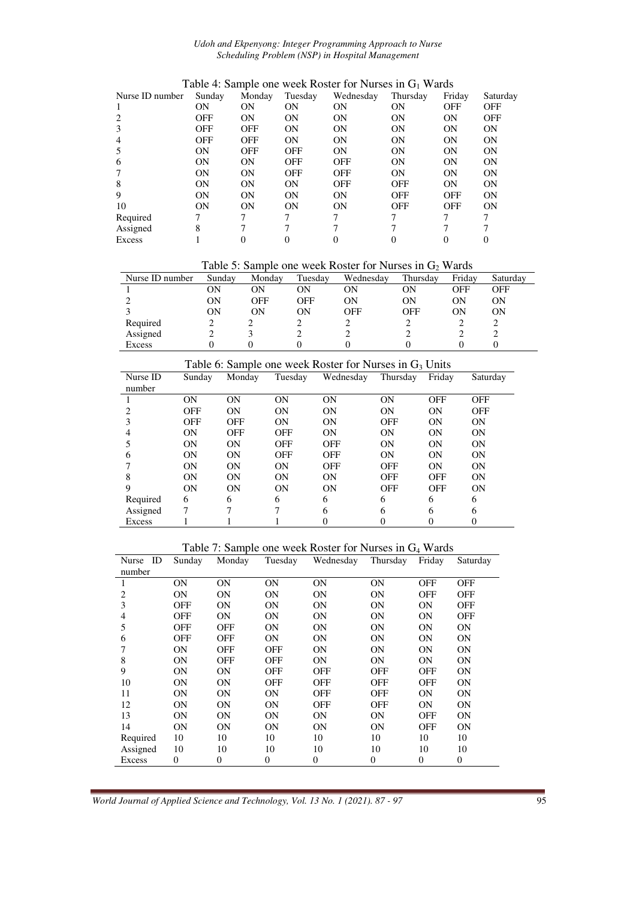#### *Udoh and Ekpenyong: Integer Programming Approach to Nurse Scheduling Problem (NSP) in Hospital Management*

|                |            |            |           |            |            | Saturday                                                        |
|----------------|------------|------------|-----------|------------|------------|-----------------------------------------------------------------|
| 0 <sub>N</sub> | 0N         | ON         | ON        | 0N         | <b>OFF</b> | <b>OFF</b>                                                      |
| <b>OFF</b>     | <b>ON</b>  | <b>ON</b>  | 0N        | <b>ON</b>  | <b>ON</b>  | <b>OFF</b>                                                      |
| OFF            | <b>OFF</b> | <b>ON</b>  | <b>ON</b> | <b>ON</b>  | <b>ON</b>  | <b>ON</b>                                                       |
| OFF            | <b>OFF</b> | ON         | 0N        | <b>ON</b>  | <b>ON</b>  | <b>ON</b>                                                       |
| ON             | <b>OFF</b> | <b>OFF</b> | ON        | <b>ON</b>  | <b>ON</b>  | <b>ON</b>                                                       |
| <b>ON</b>      | <b>ON</b>  | <b>OFF</b> | OFF       | <b>ON</b>  | <b>ON</b>  | <b>ON</b>                                                       |
| ON             | ON         | <b>OFF</b> | OFF       | ON         | <b>ON</b>  | <b>ON</b>                                                       |
| <b>ON</b>      | 0N         | ON         | OFF       | <b>OFF</b> | <b>ON</b>  | <b>ON</b>                                                       |
| <b>ON</b>      | <b>ON</b>  | ON         | <b>ON</b> | <b>OFF</b> | <b>OFF</b> | <b>ON</b>                                                       |
| ON             | ON         | ON         | ON        | <b>OFF</b> | <b>OFF</b> | ON                                                              |
|                |            |            |           |            |            |                                                                 |
| 8              |            |            |           |            |            |                                                                 |
|                |            |            |           |            |            |                                                                 |
|                | Sunday     | Monday     | Tuesday   | Wednesday  | Thursday   | Twele it built but we week twelet for Funded in O was<br>Friday |

| Table 4: Sample one week Roster for Nurses in $G_1$ Wards |  |  |  |  |  |
|-----------------------------------------------------------|--|--|--|--|--|
|-----------------------------------------------------------|--|--|--|--|--|

Table 5: Sample one week Roster for Nurses in  $G_2$  Wards

|                 |        |        |         |           | -          |        |          |
|-----------------|--------|--------|---------|-----------|------------|--------|----------|
| Nurse ID number | Sunday | Monday | Tuesday | Wednesdav | Thursday   | Fridav | Saturday |
|                 | OΝ     | OΝ     | OΝ      | ОN        | ON         | OFF    | OFF      |
|                 | ON     | OFF    | OFF     | ОN        | ON         | ON     | ΟN       |
|                 | ON     | ON     | OΝ      | OFF       | <b>OFF</b> | ON     | ON       |
| Required        |        |        |         |           |            |        |          |
| Assigned        |        |        |         |           |            |        |          |
| Excess          |        |        |         |           |            |        |          |

| Table 6: Sample one week Roster for Nurses in $G_3$ Units |            |                |            |            |            |            |            |  |  |
|-----------------------------------------------------------|------------|----------------|------------|------------|------------|------------|------------|--|--|
| Nurse ID                                                  | Sunday     | Monday         | Tuesday    | Wednesday  | Thursday   | Friday     | Saturday   |  |  |
| number                                                    |            |                |            |            |            |            |            |  |  |
|                                                           | <b>ON</b>  | <b>ON</b>      | <b>ON</b>  | <b>ON</b>  | 0N         | <b>OFF</b> | <b>OFF</b> |  |  |
|                                                           | <b>OFF</b> | 0 <sub>N</sub> | ON         | ON         | ON         | <b>ON</b>  | <b>OFF</b> |  |  |
|                                                           | <b>OFF</b> | <b>OFF</b>     | <b>ON</b>  | <b>ON</b>  | <b>OFF</b> | <b>ON</b>  | <b>ON</b>  |  |  |
|                                                           | ON         | <b>OFF</b>     | OFF        | ON         | ON         | ON         | ON         |  |  |
|                                                           | ON         | 0 <sub>N</sub> | OFF        | <b>OFF</b> | ON         | ON         | <b>ON</b>  |  |  |
| 6                                                         | <b>ON</b>  | 0 <sub>N</sub> | <b>OFF</b> | <b>OFF</b> | ON         | <b>ON</b>  | <b>ON</b>  |  |  |
|                                                           | <b>ON</b>  | 0 <sub>N</sub> | ON         | <b>OFF</b> | <b>OFF</b> | ON         | <b>ON</b>  |  |  |
| 8                                                         | <b>ON</b>  | <b>ON</b>      | ON         | <b>ON</b>  | <b>OFF</b> | <b>OFF</b> | <b>ON</b>  |  |  |
| 9                                                         | ON         | ON             | ON         | ON         | <b>OFF</b> | <b>OFF</b> | <b>ON</b>  |  |  |
| Required                                                  | 6          | 6              | 6          | 6          | 6          | 6          | 6          |  |  |
| Assigned                                                  | 7          | 7              |            | 6          | 6          | 6          | 6          |  |  |
| Excess                                                    |            |                |            |            |            | 0          |            |  |  |

Table 7: Sample one week Roster for Nurses in G4 Wards

| ID<br>Nurse | Sunday         | Monday         | Tuesday        | Wednesday  | Thursday   | Friday     | Saturday   |
|-------------|----------------|----------------|----------------|------------|------------|------------|------------|
| number      |                |                |                |            |            |            |            |
| 1           | 0N             | 0N             | <b>ON</b>      | <b>ON</b>  | <b>ON</b>  | <b>OFF</b> | <b>OFF</b> |
| 2           | 0N             | <b>ON</b>      | <b>ON</b>      | <b>ON</b>  | <b>ON</b>  | <b>OFF</b> | <b>OFF</b> |
| 3           | OFF            | 0N             | <b>ON</b>      | <b>ON</b>  | <b>ON</b>  | <b>ON</b>  | <b>OFF</b> |
| 4           | OFF            | 0N             | <b>ON</b>      | <b>ON</b>  | <b>ON</b>  | <b>ON</b>  | <b>OFF</b> |
| 5           | OFF            | <b>OFF</b>     | <b>ON</b>      | <b>ON</b>  | <b>ON</b>  | <b>ON</b>  | <b>ON</b>  |
| 6           | OFF            | <b>OFF</b>     | <b>ON</b>      | <b>ON</b>  | <b>ON</b>  | <b>ON</b>  | <b>ON</b>  |
|             | ON             | <b>OFF</b>     | <b>OFF</b>     | <b>ON</b>  | <b>ON</b>  | <b>ON</b>  | <b>ON</b>  |
| 8           | ON             | <b>OFF</b>     | <b>OFF</b>     | <b>ON</b>  | <b>ON</b>  | <b>ON</b>  | <b>ON</b>  |
| 9           | ON             | 0N             | <b>OFF</b>     | <b>OFF</b> | <b>OFF</b> | <b>OFF</b> | <b>ON</b>  |
| 10          | ON             | <b>ON</b>      | <b>OFF</b>     | <b>OFF</b> | <b>OFF</b> | <b>OFF</b> | <b>ON</b>  |
| 11          | ON             | <b>ON</b>      | <b>ON</b>      | <b>OFF</b> | OFF        | <b>ON</b>  | <b>ON</b>  |
| 12          | ON             | 0N             | <b>ON</b>      | <b>OFF</b> | OFF        | <b>ON</b>  | <b>ON</b>  |
| 13          | ON             | <b>ON</b>      | <b>ON</b>      | <b>ON</b>  | <b>ON</b>  | <b>OFF</b> | <b>ON</b>  |
| 14          | ON             | <b>ON</b>      | <b>ON</b>      | <b>ON</b>  | <b>ON</b>  | <b>OFF</b> | <b>ON</b>  |
| Required    | 10             | 10             | 10             | 10         | 10         | 10         | 10         |
| Assigned    | 10             | 10             | 10             | 10         | 10         | 10         | 10         |
| Excess      | $\overline{0}$ | $\overline{0}$ | $\overline{0}$ | $\theta$   | $\theta$   | $\Omega$   | $\theta$   |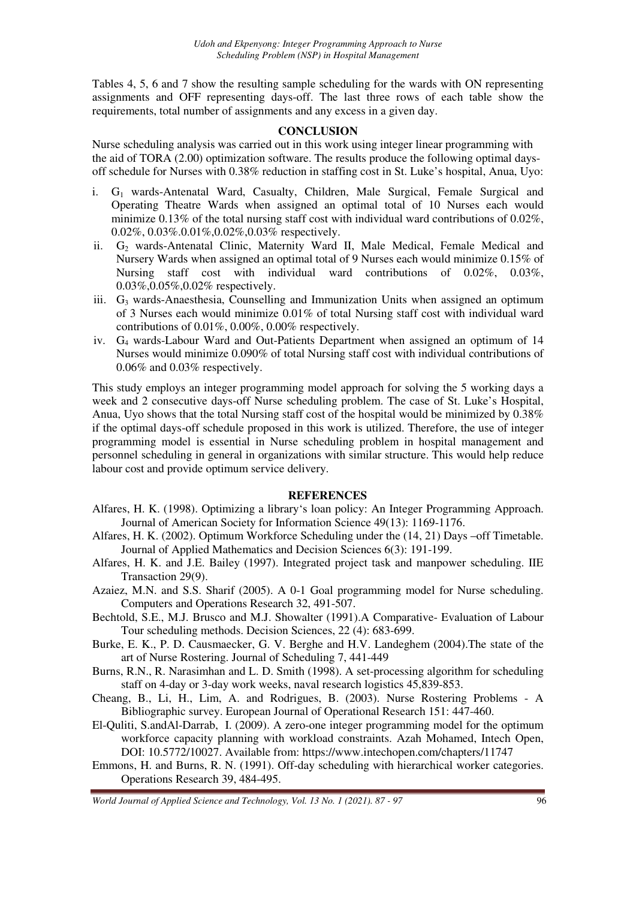Tables 4, 5, 6 and 7 show the resulting sample scheduling for the wards with ON representing assignments and OFF representing days-off. The last three rows of each table show the requirements, total number of assignments and any excess in a given day.

### **CONCLUSION**

Nurse scheduling analysis was carried out in this work using integer linear programming with the aid of TORA (2.00) optimization software. The results produce the following optimal daysoff schedule for Nurses with 0.38% reduction in staffing cost in St. Luke's hospital, Anua, Uyo:

- i. G<sub>1</sub> wards-Antenatal Ward, Casualty, Children, Male Surgical, Female Surgical and Operating Theatre Wards when assigned an optimal total of 10 Nurses each would minimize  $0.13\%$  of the total nursing staff cost with individual ward contributions of  $0.02\%$ . 0.02%, 0.03%.0.01%,0.02%,0.03% respectively.
- ii. G<sub>2</sub> wards-Antenatal Clinic, Maternity Ward II, Male Medical, Female Medical and Nursery Wards when assigned an optimal total of 9 Nurses each would minimize 0.15% of Nursing staff cost with individual ward contributions of 0.02%, 0.03%, 0.03%,0.05%,0.02% respectively.
- iii.  $G_3$  wards-Anaesthesia, Counselling and Immunization Units when assigned an optimum of 3 Nurses each would minimize 0.01% of total Nursing staff cost with individual ward contributions of 0.01%, 0.00%, 0.00% respectively.
- iv. G4 wards-Labour Ward and Out-Patients Department when assigned an optimum of 14 Nurses would minimize 0.090% of total Nursing staff cost with individual contributions of 0.06% and 0.03% respectively.

This study employs an integer programming model approach for solving the 5 working days a week and 2 consecutive days-off Nurse scheduling problem. The case of St. Luke's Hospital, Anua, Uyo shows that the total Nursing staff cost of the hospital would be minimized by 0.38% if the optimal days-off schedule proposed in this work is utilized. Therefore, the use of integer programming model is essential in Nurse scheduling problem in hospital management and personnel scheduling in general in organizations with similar structure. This would help reduce labour cost and provide optimum service delivery.

### **REFERENCES**

- Alfares, H. K. (1998). Optimizing a library's loan policy: An Integer Programming Approach. Journal of American Society for Information Science 49(13): 1169-1176.
- Alfares, H. K. (2002). Optimum Workforce Scheduling under the (14, 21) Days –off Timetable. Journal of Applied Mathematics and Decision Sciences 6(3): 191-199.
- Alfares, H. K. and J.E. Bailey (1997). Integrated project task and manpower scheduling. IIE Transaction 29(9).
- Azaiez, M.N. and S.S. Sharif (2005). A 0-1 Goal programming model for Nurse scheduling. Computers and Operations Research 32, 491-507.
- Bechtold, S.E., M.J. Brusco and M.J. Showalter (1991).A Comparative- Evaluation of Labour Tour scheduling methods. Decision Sciences, 22 (4): 683-699.
- Burke, E. K., P. D. Causmaecker, G. V. Berghe and H.V. Landeghem (2004).The state of the art of Nurse Rostering. Journal of Scheduling 7, 441-449
- Burns, R.N., R. Narasimhan and L. D. Smith (1998). A set-processing algorithm for scheduling staff on 4-day or 3-day work weeks, naval research logistics 45,839-853.
- Cheang, B., Li, H., Lim, A. and Rodrigues, B. (2003). Nurse Rostering Problems A Bibliographic survey. European Journal of Operational Research 151: 447-460.
- El-Quliti, S.andAl-Darrab, I. (2009). A zero-one integer programming model for the optimum workforce capacity planning with workload constraints. Azah Mohamed, Intech Open, DOI: 10.5772/10027. Available from: https://www.intechopen.com/chapters/11747
- Emmons, H. and Burns, R. N. (1991). Off-day scheduling with hierarchical worker categories. Operations Research 39, 484-495.